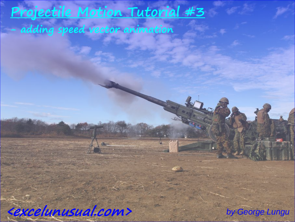# **Projectile Motion Tutorial #3**

**Band** 

**- adding speed vector animation**

<u>EXCEIUNUSUAI.COM></u> **<excelunusual.com>** *by George Lungu* 

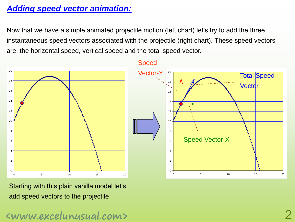## *Adding speed vector animation:*

Now that we have a simple animated projectile motion (left chart) let's try to add the three instantaneous speed vectors associated with the projectile (right chart). These speed vectors are: the horizontal speed, vertical speed and the total speed vector.



Starting with this plain vanilla model let's add speed vectors to the projectile

**<www.excelunusual.com>** 2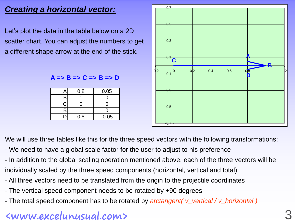## *Creating a horizontal vector:*

Let's plot the data in the table below on a 2D scatter chart. You can adjust the numbers to get a different shape arrow at the end of the stick.

#### **A => B => C => B => D**

|   | 0.8 | 0.05    |
|---|-----|---------|
| R |     |         |
|   |     |         |
| R |     |         |
|   | 0.8 | $-0.05$ |



We will use three tables like this for the three speed vectors with the following transformations:

- We need to have a global scale factor for the user to adjust to his preference
- In addition to the global scaling operation mentioned above, each of the three vectors will be individually scaled by the three speed components (horizontal, vertical and total)
- All three vectors need to be translated from the origin to the projectile coordinates
- The vertical speed component needs to be rotated by +90 degrees
- The total speed component has to be rotated by *arctangent( v\_vertical / v\_horizontal )*

## **<www.excelunusual.com>** 3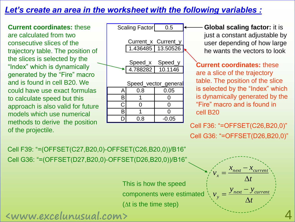### *Let's create an area in the worksheet with the following variables :*

**Current coordinates:** these are calculated from two consecutive slices of the trajectory table. The position of the slices is selected by the "Index" which is dynamically generated by the "Fire" macro and is found in cell B20. We could have use exact formulas to calculate speed but this approach is also valid for future models which use numerical methods to derive the position



**Global scaling factor:** it is just a constant adjustable by user depending of how large he wants the vectors to look

**Current coordinates:** these are a slice of the trajectory table. The position of the slice is selected by the "Index" which is dynamically generated by the "Fire" macro and is found in cell B20

of the projectile.<br>
of the projectile. Cell G36: "=OFFSET(D26,B20,0)"

*t*

 $\Delta$ 

 $y_{\text{next}} - y_{\text{current}}$ 

-

 $\Delta$ 

*t*

 $x_{\text{next}} - x_{\text{current}}$ 

*v*

*y*

=

 $=$ 

*v*

*x*

Cell F39: "=(OFFSET(C27,B20,0)-OFFSET(C26,B20,0))/B16" Cell G36: "=(OFFSET(D27,B20,0)-OFFSET(D26,B20,0))/B16"

> This is how the speed components were estimated ( $\Delta t$  is the time step)

**<www.excelunusual.com>** 4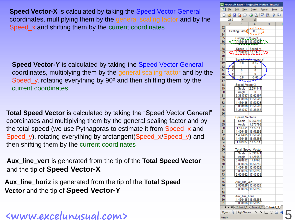**Speed Vector-X** is calculated by taking the Speed Vector General coordinates, multiplying them by the general scaling factor and by the Speed\_x and shifting them by the current coordinates

**Speed Vector-Y** is calculated by taking the Speed Vector General coordinates, multiplying them by the general scaling factor and by the Speed\_y, rotating everything by  $90^\circ$  and then shifting them by the current coordinates

**Total Speed Vector** is calculated by taking the "Speed Vector General" coordinates and multiplying them by the general scaling factor and by the total speed (we use Pythagoras to estimate it from Speed\_x and Speed\_y), rotating everything by arctangent(Speed\_x/Speed\_y) and then shifting them by the current coordinates

**Aux\_line\_vert** is generated from the tip of the **Total Speed Vector** and the tip of **Speed Vector-X**

**Aux\_line\_horiz** is generated from the tip of the **Total Speed Vector** and the tip of **Speed Vector-Y**

**<www.excelunusual.com>** 5